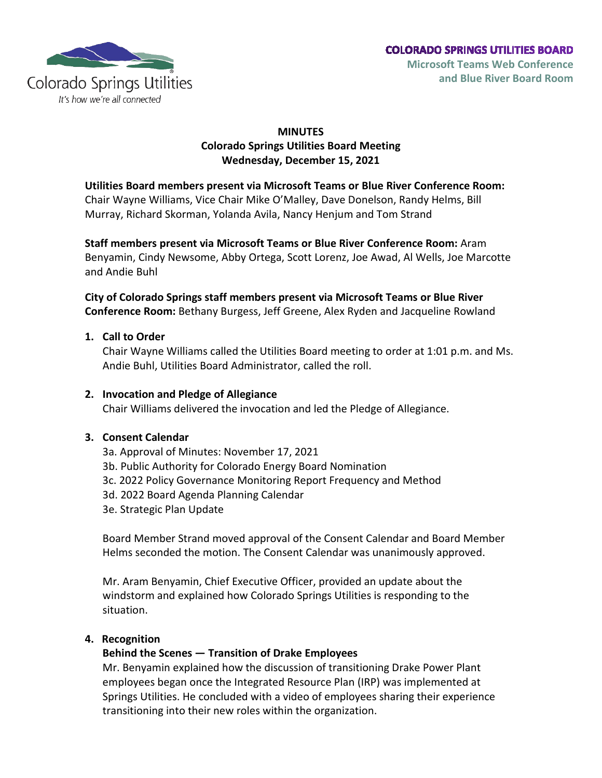

# **MINUTES Colorado Springs Utilities Board Meeting Wednesday, December 15, 2021**

#### **Utilities Board members present via Microsoft Teams or Blue River Conference Room:**

Chair Wayne Williams, Vice Chair Mike O'Malley, Dave Donelson, Randy Helms, Bill Murray, Richard Skorman, Yolanda Avila, Nancy Henjum and Tom Strand

**Staff members present via Microsoft Teams or Blue River Conference Room:** Aram Benyamin, Cindy Newsome, Abby Ortega, Scott Lorenz, Joe Awad, Al Wells, Joe Marcotte and Andie Buhl

**City of Colorado Springs staff members present via Microsoft Teams or Blue River Conference Room:** Bethany Burgess, Jeff Greene, Alex Ryden and Jacqueline Rowland

#### **1. Call to Order**

Chair Wayne Williams called the Utilities Board meeting to order at 1:01 p.m. and Ms. Andie Buhl, Utilities Board Administrator, called the roll.

#### **2. Invocation and Pledge of Allegiance**

Chair Williams delivered the invocation and led the Pledge of Allegiance.

# **3. Consent Calendar**

- 3a. Approval of Minutes: November 17, 2021
- 3b. Public Authority for Colorado Energy Board Nomination
- 3c. 2022 Policy Governance Monitoring Report Frequency and Method
- 3d. 2022 Board Agenda Planning Calendar
- 3e. Strategic Plan Update

Board Member Strand moved approval of the Consent Calendar and Board Member Helms seconded the motion. The Consent Calendar was unanimously approved.

Mr. Aram Benyamin, Chief Executive Officer, provided an update about the windstorm and explained how Colorado Springs Utilities is responding to the situation.

#### **4. Recognition**

# **Behind the Scenes — Transition of Drake Employees**

Mr. Benyamin explained how the discussion of transitioning Drake Power Plant employees began once the Integrated Resource Plan (IRP) was implemented at Springs Utilities. He concluded with a video of employees sharing their experience transitioning into their new roles within the organization.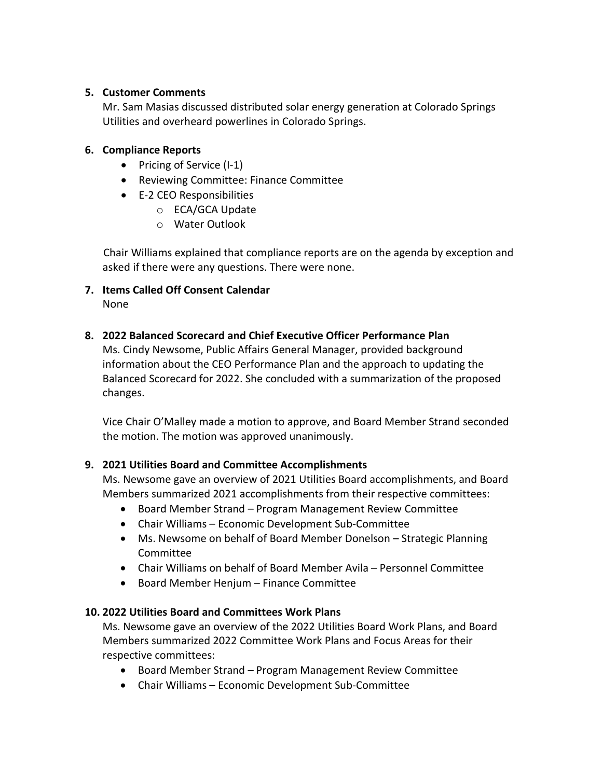#### **5. Customer Comments**

Mr. Sam Masias discussed distributed solar energy generation at Colorado Springs Utilities and overheard powerlines in Colorado Springs.

### **6. Compliance Reports**

- Pricing of Service (I-1)
- Reviewing Committee: Finance Committee
- E-2 CEO Responsibilities
	- o ECA/GCA Update
	- o Water Outlook

Chair Williams explained that compliance reports are on the agenda by exception and asked if there were any questions. There were none.

**7. Items Called Off Consent Calendar** None

# **8. 2022 Balanced Scorecard and Chief Executive Officer Performance Plan**

Ms. Cindy Newsome, Public Affairs General Manager, provided background information about the CEO Performance Plan and the approach to updating the Balanced Scorecard for 2022. She concluded with a summarization of the proposed changes.

Vice Chair O'Malley made a motion to approve, and Board Member Strand seconded the motion. The motion was approved unanimously.

# **9. 2021 Utilities Board and Committee Accomplishments**

Ms. Newsome gave an overview of 2021 Utilities Board accomplishments, and Board Members summarized 2021 accomplishments from their respective committees:

- Board Member Strand Program Management Review Committee
- Chair Williams Economic Development Sub-Committee
- Ms. Newsome on behalf of Board Member Donelson Strategic Planning Committee
- Chair Williams on behalf of Board Member Avila Personnel Committee
- Board Member Henjum Finance Committee

# **10. 2022 Utilities Board and Committees Work Plans**

Ms. Newsome gave an overview of the 2022 Utilities Board Work Plans, and Board Members summarized 2022 Committee Work Plans and Focus Areas for their respective committees:

- Board Member Strand Program Management Review Committee
- Chair Williams Economic Development Sub-Committee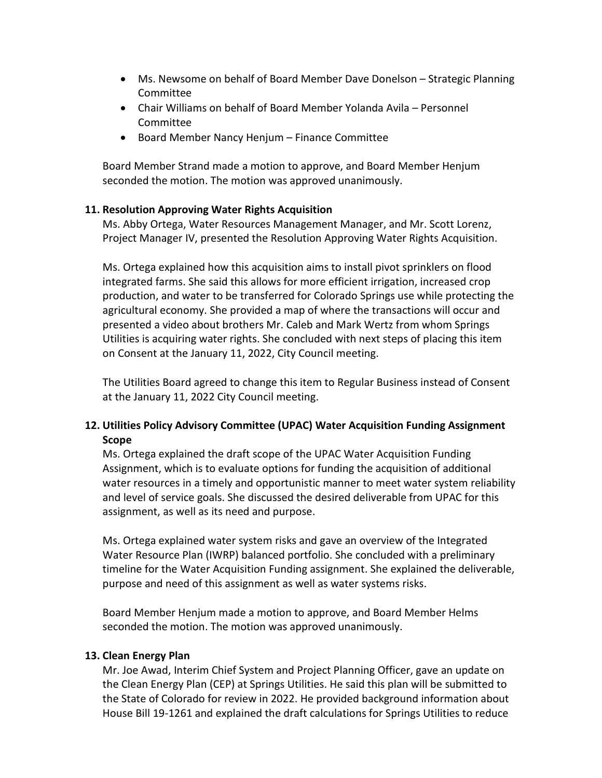- Ms. Newsome on behalf of Board Member Dave Donelson Strategic Planning Committee
- Chair Williams on behalf of Board Member Yolanda Avila Personnel Committee
- Board Member Nancy Henjum Finance Committee

Board Member Strand made a motion to approve, and Board Member Henjum seconded the motion. The motion was approved unanimously.

#### **11. Resolution Approving Water Rights Acquisition**

Ms. Abby Ortega, Water Resources Management Manager, and Mr. Scott Lorenz, Project Manager IV, presented the Resolution Approving Water Rights Acquisition.

Ms. Ortega explained how this acquisition aims to install pivot sprinklers on flood integrated farms. She said this allows for more efficient irrigation, increased crop production, and water to be transferred for Colorado Springs use while protecting the agricultural economy. She provided a map of where the transactions will occur and presented a video about brothers Mr. Caleb and Mark Wertz from whom Springs Utilities is acquiring water rights. She concluded with next steps of placing this item on Consent at the January 11, 2022, City Council meeting.

The Utilities Board agreed to change this item to Regular Business instead of Consent at the January 11, 2022 City Council meeting.

# **12. Utilities Policy Advisory Committee (UPAC) Water Acquisition Funding Assignment Scope**

Ms. Ortega explained the draft scope of the UPAC Water Acquisition Funding Assignment, which is to evaluate options for funding the acquisition of additional water resources in a timely and opportunistic manner to meet water system reliability and level of service goals. She discussed the desired deliverable from UPAC for this assignment, as well as its need and purpose.

Ms. Ortega explained water system risks and gave an overview of the Integrated Water Resource Plan (IWRP) balanced portfolio. She concluded with a preliminary timeline for the Water Acquisition Funding assignment. She explained the deliverable, purpose and need of this assignment as well as water systems risks.

Board Member Henjum made a motion to approve, and Board Member Helms seconded the motion. The motion was approved unanimously.

# **13. Clean Energy Plan**

Mr. Joe Awad, Interim Chief System and Project Planning Officer, gave an update on the Clean Energy Plan (CEP) at Springs Utilities. He said this plan will be submitted to the State of Colorado for review in 2022. He provided background information about House Bill 19-1261 and explained the draft calculations for Springs Utilities to reduce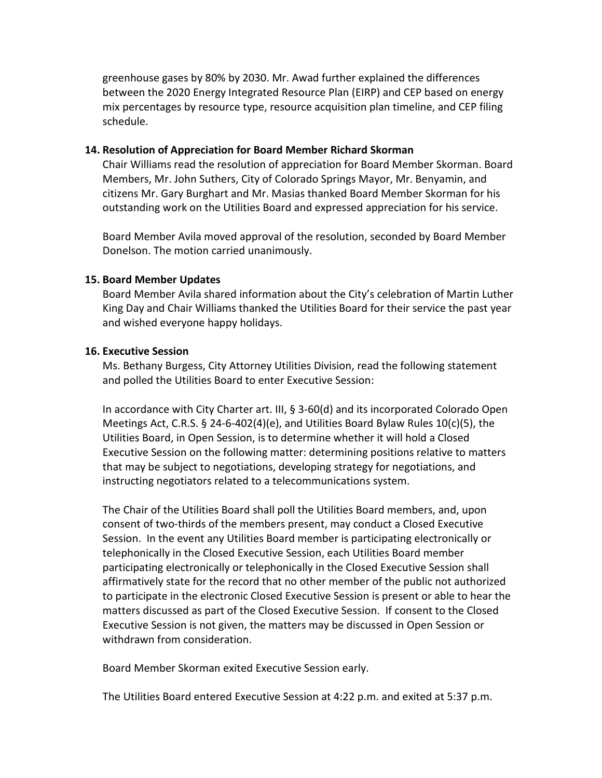greenhouse gases by 80% by 2030. Mr. Awad further explained the differences between the 2020 Energy Integrated Resource Plan (EIRP) and CEP based on energy mix percentages by resource type, resource acquisition plan timeline, and CEP filing schedule.

#### **14. Resolution of Appreciation for Board Member Richard Skorman**

Chair Williams read the resolution of appreciation for Board Member Skorman. Board Members, Mr. John Suthers, City of Colorado Springs Mayor, Mr. Benyamin, and citizens Mr. Gary Burghart and Mr. Masias thanked Board Member Skorman for his outstanding work on the Utilities Board and expressed appreciation for his service.

Board Member Avila moved approval of the resolution, seconded by Board Member Donelson. The motion carried unanimously.

#### **15. Board Member Updates**

Board Member Avila shared information about the City's celebration of Martin Luther King Day and Chair Williams thanked the Utilities Board for their service the past year and wished everyone happy holidays.

#### **16. Executive Session**

Ms. Bethany Burgess, City Attorney Utilities Division, read the following statement and polled the Utilities Board to enter Executive Session:

In accordance with City Charter art. III, § 3-60(d) and its incorporated Colorado Open Meetings Act, C.R.S. § 24-6-402(4)(e), and Utilities Board Bylaw Rules 10(c)(5), the Utilities Board, in Open Session, is to determine whether it will hold a Closed Executive Session on the following matter: determining positions relative to matters that may be subject to negotiations, developing strategy for negotiations, and instructing negotiators related to a telecommunications system.

The Chair of the Utilities Board shall poll the Utilities Board members, and, upon consent of two-thirds of the members present, may conduct a Closed Executive Session. In the event any Utilities Board member is participating electronically or telephonically in the Closed Executive Session, each Utilities Board member participating electronically or telephonically in the Closed Executive Session shall affirmatively state for the record that no other member of the public not authorized to participate in the electronic Closed Executive Session is present or able to hear the matters discussed as part of the Closed Executive Session. If consent to the Closed Executive Session is not given, the matters may be discussed in Open Session or withdrawn from consideration.

Board Member Skorman exited Executive Session early.

The Utilities Board entered Executive Session at 4:22 p.m. and exited at 5:37 p.m.